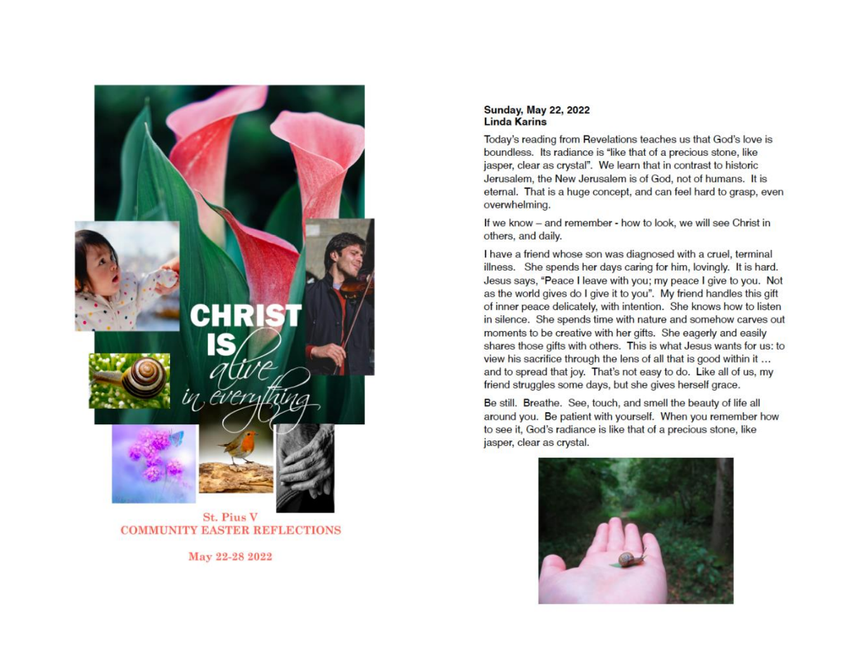

**COMMUNITY EASTER REFLECTIONS** 

May 22-28 2022

### **Sunday, May 22, 2022 Linda Karins**

Today's reading from Revelations teaches us that God's love is boundless. Its radiance is "like that of a precious stone, like jasper, clear as crystal". We learn that in contrast to historic Jerusalem, the New Jerusalem is of God, not of humans. It is eternal. That is a huge concept, and can feel hard to grasp, even overwhelming.

If we know - and remember - how to look, we will see Christ in others, and daily.

I have a friend whose son was diagnosed with a cruel, terminal illness. She spends her days caring for him, lovingly. It is hard. Jesus says, "Peace I leave with you; my peace I give to you. Not as the world gives do I give it to you". My friend handles this gift of inner peace delicately, with intention. She knows how to listen in silence. She spends time with nature and somehow carves out moments to be creative with her gifts. She eagerly and easily shares those gifts with others. This is what Jesus wants for us: to view his sacrifice through the lens of all that is good within it ... and to spread that joy. That's not easy to do. Like all of us, my friend struggles some days, but she gives herself grace.

Be still. Breathe. See, touch, and smell the beauty of life all around you. Be patient with yourself. When you remember how to see it, God's radiance is like that of a precious stone, like jasper, clear as crystal.

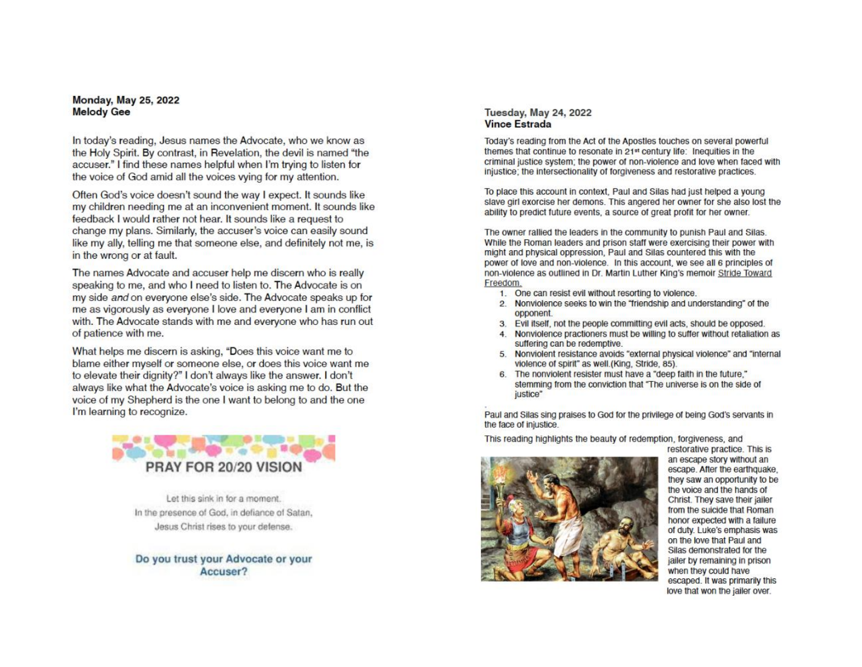#### **Monday, May 25, 2022 Melody Gee**

In today's reading, Jesus names the Advocate, who we know as the Holy Spirit. By contrast, in Revelation, the devil is named "the accuser." I find these names helpful when I'm trying to listen for the voice of God amid all the voices vying for my attention.

Often God's voice doesn't sound the way I expect. It sounds like my children needing me at an inconvenient moment. It sounds like feedback I would rather not hear. It sounds like a request to change my plans. Similarly, the accuser's voice can easily sound like my ally, telling me that someone else, and definitely not me, is in the wrong or at fault.

The names Advocate and accuser help me discern who is really speaking to me, and who I need to listen to. The Advocate is on my side and on everyone else's side. The Advocate speaks up for me as vigorously as everyone I love and everyone I am in conflict with. The Advocate stands with me and everyone who has run out of patience with me.

What helps me discern is asking, "Does this voice want me to blame either myself or someone else, or does this voice want me to elevate their dignity?" I don't always like the answer. I don't always like what the Advocate's voice is asking me to do. But the voice of my Shepherd is the one I want to belong to and the one I'm learning to recognize.



Let this sink in for a moment. In the presence of God, in defiance of Satan, Jesus Christ rises to your defense.

Do you trust your Advocate or your Accuser?

### **Tuesday, May 24, 2022 Vince Estrada**

Today's reading from the Act of the Apostles touches on several powerful themes that continue to resonate in 21<sup>st</sup> century life: Inequities in the criminal justice system: the power of non-violence and love when faced with injustice; the intersectionality of forgiveness and restorative practices.

To place this account in context, Paul and Silas had just helped a young slave girl exorcise her demons. This angered her owner for she also lost the ability to predict future events, a source of great profit for her owner.

The owner rallied the leaders in the community to punish Paul and Silas. While the Roman leaders and prison staff were exercising their power with might and physical oppression, Paul and Silas countered this with the power of love and non-violence. In this account, we see all 6 principles of non-violence as outlined in Dr. Martin Luther King's memoir Stride Toward Freedom.

- 1. One can resist evil without resorting to violence.
- 2. Nonviolence seeks to win the "friendship and understanding" of the opponent.
- 3. Evil itself, not the people committing evil acts, should be opposed.
- 4. Nonviolence practioners must be willing to suffer without retaliation as suffering can be redemptive.
- 5. Nonviolent resistance avoids "external physical violence" and "internal violence of spirit" as well.(King, Stride, 85).
- 6. The nonviolent resister must have a "deep faith in the future," stemming from the conviction that "The universe is on the side of justice"

Paul and Silas sing praises to God for the privilege of being God's servants in the face of injustice.

This reading highlights the beauty of redemption, forgiveness, and



restorative practice. This is an escape story without an escape. After the earthquake, they saw an opportunity to be the voice and the hands of Christ. They save their jailer from the suicide that Roman honor expected with a failure of duty. Luke's emphasis was on the love that Paul and Silas demonstrated for the jailer by remaining in prison when they could have escaped. It was primarily this love that won the jailer over.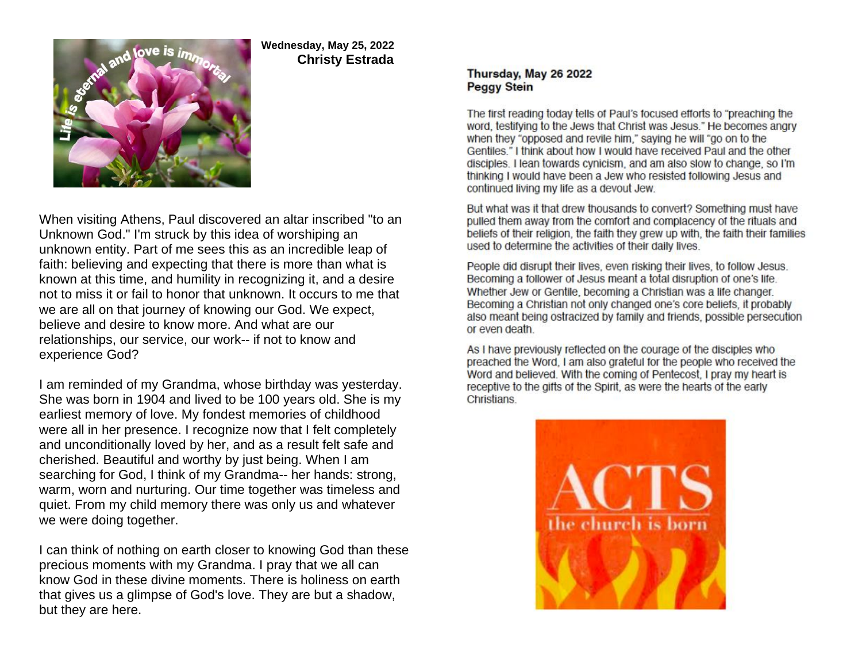

# **Wednesday, May 25, 2022 Christy Estrada**

When visiting Athens, Paul discovered an altar inscribed "to an Unknown God." I'm struck by this idea of worshiping an unknown entity. Part of me sees this as an incredible leap of faith: believing and expecting that there is more than what is known at this time, and humility in recognizing it, and a desire not to miss it or fail to honor that unknown. It occurs to me that we are all on that journey of knowing our God. We expect, believe and desire to know more. And what are our relationships, our service, our work-- if not to know and experience God?

I am reminded of my Grandma, whose birthday was yesterday. She was born in 1904 and lived to be 100 years old. She is my earliest memory of love. My fondest memories of childhood were all in her presence. I recognize now that I felt completely and unconditionally loved by her, and as a result felt safe and cherished. Beautiful and worthy by just being. When I am searching for God, I think of my Grandma-- her hands: strong, warm, worn and nurturing. Our time together was timeless and quiet. From my child memory there was only us and whatever we were doing together.

I can think of nothing on earth closer to knowing God than these precious moments with my Grandma. I pray that we all can know God in these divine moments. There is holiness on earth that gives us a glimpse of God's love. They are but a shadow, but they are here.

## Thursday, May 26 2022 **Peggy Stein**

The first reading today tells of Paul's focused efforts to "preaching the word, testifying to the Jews that Christ was Jesus." He becomes angry when they "opposed and revile him," saying he will "go on to the Gentiles." I think about how I would have received Paul and the other disciples. I lean towards cynicism, and am also slow to change, so I'm thinking I would have been a Jew who resisted following Jesus and continued living my life as a devout Jew.

But what was it that drew thousands to convert? Something must have pulled them away from the comfort and complacency of the rituals and beliefs of their religion, the faith they grew up with, the faith their families used to determine the activities of their daily lives.

People did disrupt their lives, even risking their lives, to follow Jesus. Becoming a follower of Jesus meant a total disruption of one's life. Whether Jew or Gentile, becoming a Christian was a life changer. Becoming a Christian not only changed one's core beliefs, it probably also meant being ostracized by family and friends, possible persecution or even death.

As I have previously reflected on the courage of the disciples who preached the Word, I am also grateful for the people who received the Word and believed. With the coming of Pentecost, I pray my heart is receptive to the gifts of the Spirit, as were the hearts of the early Christians.